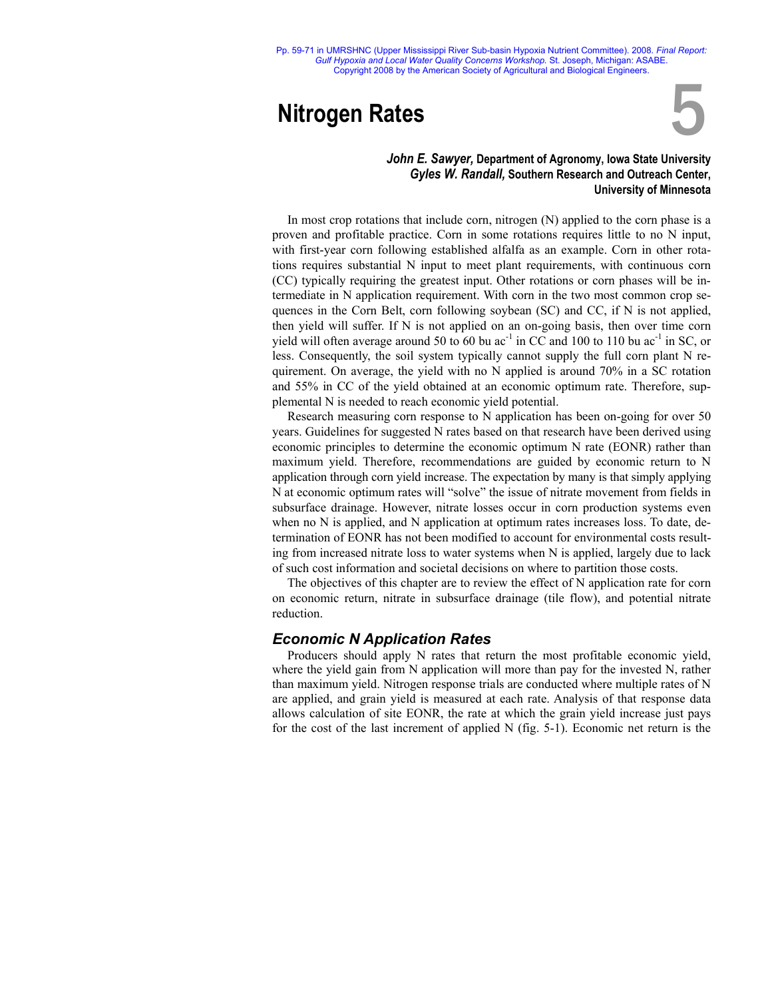Pp. 59-71 in UMRSHNC (Upper Mississippi River Sub-basin Hypoxia Nutrient Committee). 2008*. Final Report: Gulf Hypoxia and Local Water Quality Concerns Workshop.* St. Joseph, Michigan: ASABE. Copyright 2008 by the American Society of Agricultural and Biological Engineers.

# **Nitrogen Rates**



# *John E. Sawyer,* **Department of Agronomy, Iowa State University** *Gyles W. Randall,* **Southern Research and Outreach Center, University of Minnesota**

In most crop rotations that include corn, nitrogen (N) applied to the corn phase is a proven and profitable practice. Corn in some rotations requires little to no N input, with first-year corn following established alfalfa as an example. Corn in other rotations requires substantial N input to meet plant requirements, with continuous corn (CC) typically requiring the greatest input. Other rotations or corn phases will be intermediate in N application requirement. With corn in the two most common crop sequences in the Corn Belt, corn following soybean (SC) and CC, if N is not applied, then yield will suffer. If N is not applied on an on-going basis, then over time corn yield will often average around 50 to 60 bu  $ac^{-1}$  in CC and 100 to 110 bu  $ac^{-1}$  in SC, or less. Consequently, the soil system typically cannot supply the full corn plant N requirement. On average, the yield with no N applied is around 70% in a SC rotation and 55% in CC of the yield obtained at an economic optimum rate. Therefore, supplemental N is needed to reach economic yield potential.

Research measuring corn response to N application has been on-going for over 50 years. Guidelines for suggested N rates based on that research have been derived using economic principles to determine the economic optimum N rate (EONR) rather than maximum yield. Therefore, recommendations are guided by economic return to N application through corn yield increase. The expectation by many is that simply applying N at economic optimum rates will "solve" the issue of nitrate movement from fields in subsurface drainage. However, nitrate losses occur in corn production systems even when no N is applied, and N application at optimum rates increases loss. To date, determination of EONR has not been modified to account for environmental costs resulting from increased nitrate loss to water systems when N is applied, largely due to lack of such cost information and societal decisions on where to partition those costs.

The objectives of this chapter are to review the effect of N application rate for corn on economic return, nitrate in subsurface drainage (tile flow), and potential nitrate reduction.

# *Economic N Application Rates*

Producers should apply N rates that return the most profitable economic yield, where the yield gain from N application will more than pay for the invested N, rather than maximum yield. Nitrogen response trials are conducted where multiple rates of N are applied, and grain yield is measured at each rate. Analysis of that response data allows calculation of site EONR, the rate at which the grain yield increase just pays for the cost of the last increment of applied N (fig. 5-1). Economic net return is the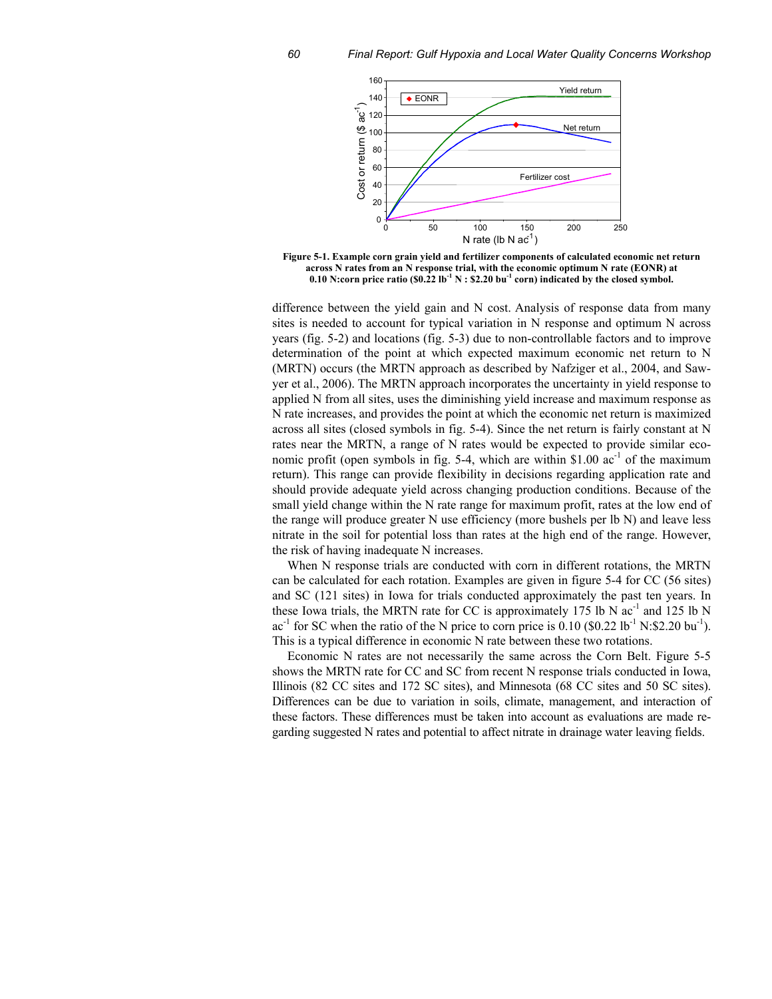

**Figure 5-1. Example corn grain yield and fertilizer components of calculated economic net return across N rates from an N response trial, with the economic optimum N rate (EONR) at**  0.10 N:corn price ratio  $(\$0.22 \text{ lb}^{-1} \text{ N} : \$2.20 \text{ bu}^{-1} \text{ corn})$  indicated by the closed symbol.

difference between the yield gain and N cost. Analysis of response data from many sites is needed to account for typical variation in N response and optimum N across years (fig. 5-2) and locations (fig. 5-3) due to non-controllable factors and to improve determination of the point at which expected maximum economic net return to N (MRTN) occurs (the MRTN approach as described by Nafziger et al., 2004, and Sawyer et al., 2006). The MRTN approach incorporates the uncertainty in yield response to applied N from all sites, uses the diminishing yield increase and maximum response as N rate increases, and provides the point at which the economic net return is maximized across all sites (closed symbols in fig. 5-4). Since the net return is fairly constant at N rates near the MRTN, a range of N rates would be expected to provide similar economic profit (open symbols in fig. 5-4, which are within \$1.00  $ac^{-1}$  of the maximum return). This range can provide flexibility in decisions regarding application rate and should provide adequate yield across changing production conditions. Because of the small yield change within the N rate range for maximum profit, rates at the low end of the range will produce greater N use efficiency (more bushels per lb N) and leave less nitrate in the soil for potential loss than rates at the high end of the range. However, the risk of having inadequate N increases.

When N response trials are conducted with corn in different rotations, the MRTN can be calculated for each rotation. Examples are given in figure 5-4 for CC (56 sites) and SC (121 sites) in Iowa for trials conducted approximately the past ten years. In these Iowa trials, the MRTN rate for CC is approximately 175 lb N  $\text{ac}^{-1}$  and 125 lb N ac<sup>-1</sup> for SC when the ratio of the N price to corn price is  $0.10$  (\$0.22 lb<sup>-1</sup> N:\$2.20 bu<sup>-1</sup>). This is a typical difference in economic N rate between these two rotations.

Economic N rates are not necessarily the same across the Corn Belt. Figure 5-5 shows the MRTN rate for CC and SC from recent N response trials conducted in Iowa, Illinois (82 CC sites and 172 SC sites), and Minnesota (68 CC sites and 50 SC sites). Differences can be due to variation in soils, climate, management, and interaction of these factors. These differences must be taken into account as evaluations are made regarding suggested N rates and potential to affect nitrate in drainage water leaving fields.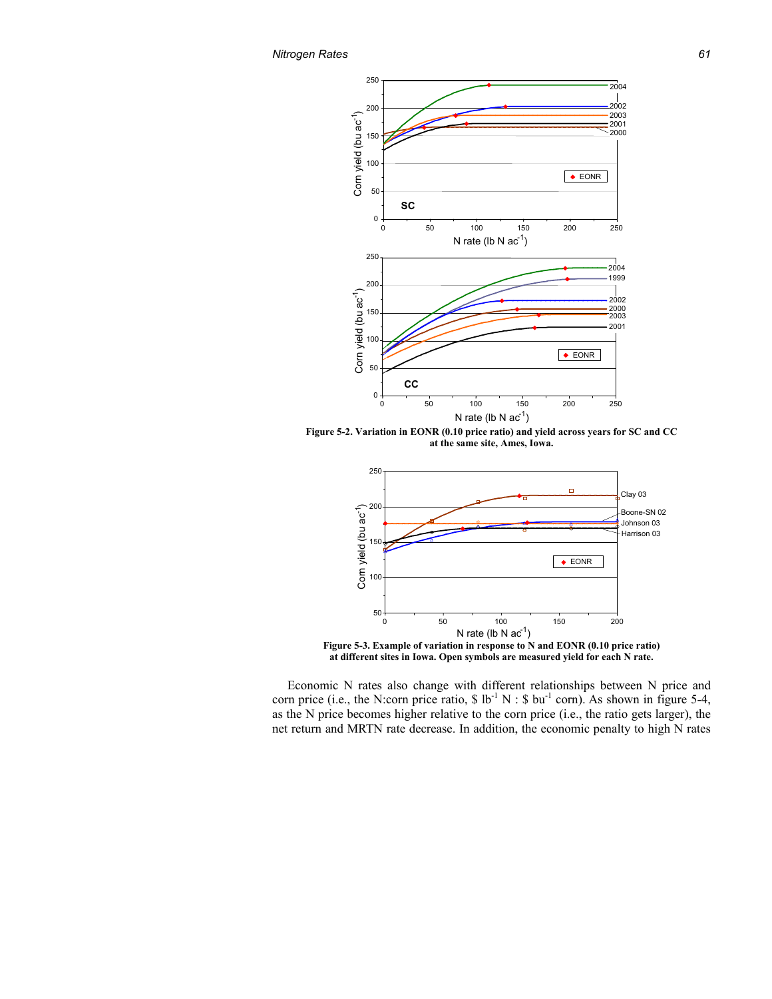

**Figure 5-2. Variation in EONR (0.10 price ratio) and yield across years for SC and CC at the same site, Ames, Iowa.** 



**Figure 5-3. Example of variation in response to N and EONR (0.10 price ratio) at different sites in Iowa. Open symbols are measured yield for each N rate.** 

Economic N rates also change with different relationships between N price and corn price (i.e., the N:corn price ratio,  $$1b^{-1}$  N :  $$bu^{-1}$  corn). As shown in figure 5-4, as the N price becomes higher relative to the corn price (i.e., the ratio gets larger), the net return and MRTN rate decrease. In addition, the economic penalty to high N rates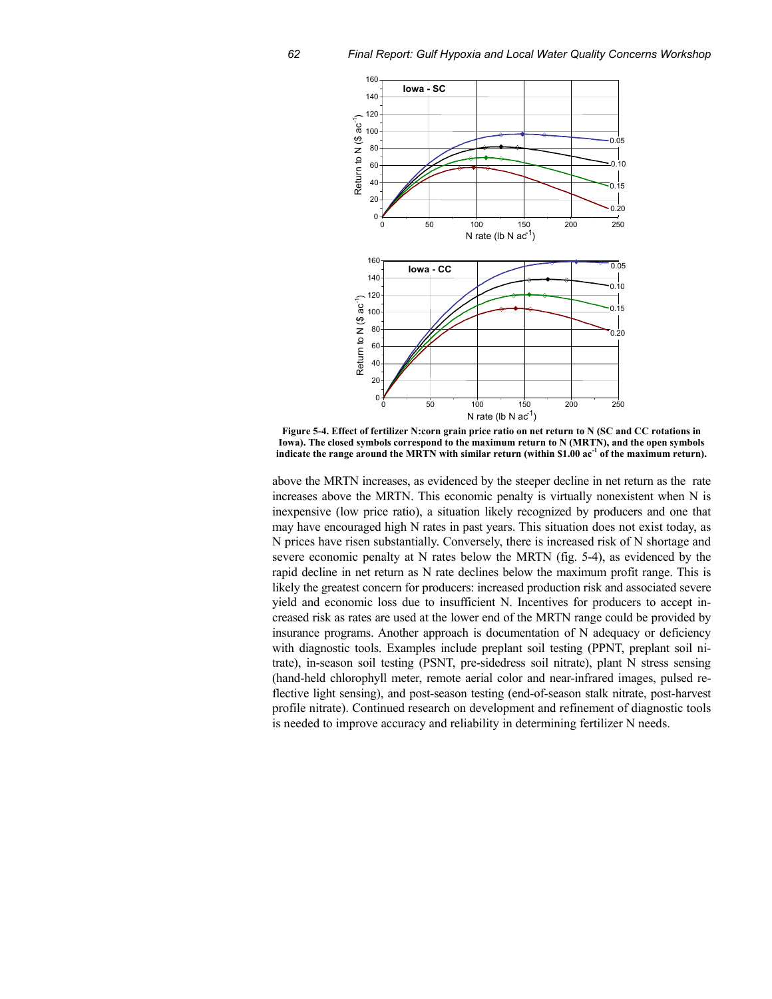

**Figure 5-4. Effect of fertilizer N:corn grain price ratio on net return to N (SC and CC rotations in Iowa). The closed symbols correspond to the maximum return to N (MRTN), and the open symbols**  indicate the range around the MRTN with similar return (within \$1.00 ac<sup>-1</sup> of the maximum return).

above the MRTN increases, as evidenced by the steeper decline in net return as the rate increases above the MRTN. This economic penalty is virtually nonexistent when N is inexpensive (low price ratio), a situation likely recognized by producers and one that may have encouraged high N rates in past years. This situation does not exist today, as N prices have risen substantially. Conversely, there is increased risk of N shortage and severe economic penalty at N rates below the MRTN (fig. 5-4), as evidenced by the rapid decline in net return as N rate declines below the maximum profit range. This is likely the greatest concern for producers: increased production risk and associated severe yield and economic loss due to insufficient N. Incentives for producers to accept increased risk as rates are used at the lower end of the MRTN range could be provided by insurance programs. Another approach is documentation of N adequacy or deficiency with diagnostic tools. Examples include preplant soil testing (PPNT, preplant soil nitrate), in-season soil testing (PSNT, pre-sidedress soil nitrate), plant N stress sensing (hand-held chlorophyll meter, remote aerial color and near-infrared images, pulsed reflective light sensing), and post-season testing (end-of-season stalk nitrate, post-harvest profile nitrate). Continued research on development and refinement of diagnostic tools is needed to improve accuracy and reliability in determining fertilizer N needs.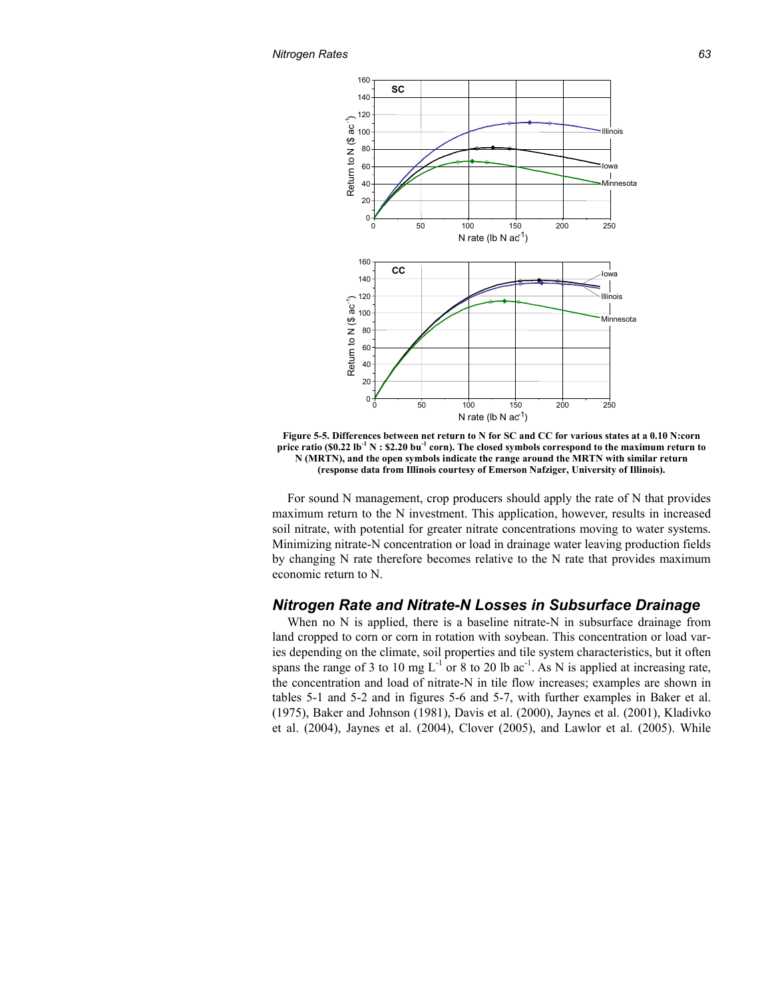

**Figure 5-5. Differences between net return to N for SC and CC for various states at a 0.10 N:corn price ratio (\$0.22 lb<sup>-1</sup> N : \$2.20 bu<sup>-1</sup> corn). The closed symbols correspond to the maximum return to N (MRTN), and the open symbols indicate the range around the MRTN with similar return (response data from Illinois courtesy of Emerson Nafziger, University of Illinois).** 

For sound N management, crop producers should apply the rate of N that provides maximum return to the N investment. This application, however, results in increased soil nitrate, with potential for greater nitrate concentrations moving to water systems. Minimizing nitrate-N concentration or load in drainage water leaving production fields by changing N rate therefore becomes relative to the N rate that provides maximum economic return to N.

# *Nitrogen Rate and Nitrate-N Losses in Subsurface Drainage*

When no N is applied, there is a baseline nitrate-N in subsurface drainage from land cropped to corn or corn in rotation with soybean. This concentration or load varies depending on the climate, soil properties and tile system characteristics, but it often spans the range of 3 to 10 mg  $L^{-1}$  or 8 to 20 lb ac<sup>-1</sup>. As N is applied at increasing rate, the concentration and load of nitrate-N in tile flow increases; examples are shown in tables 5-1 and 5-2 and in figures 5-6 and 5-7, with further examples in Baker et al. (1975), Baker and Johnson (1981), Davis et al. (2000), Jaynes et al. (2001), Kladivko et al. (2004), Jaynes et al. (2004), Clover (2005), and Lawlor et al. (2005). While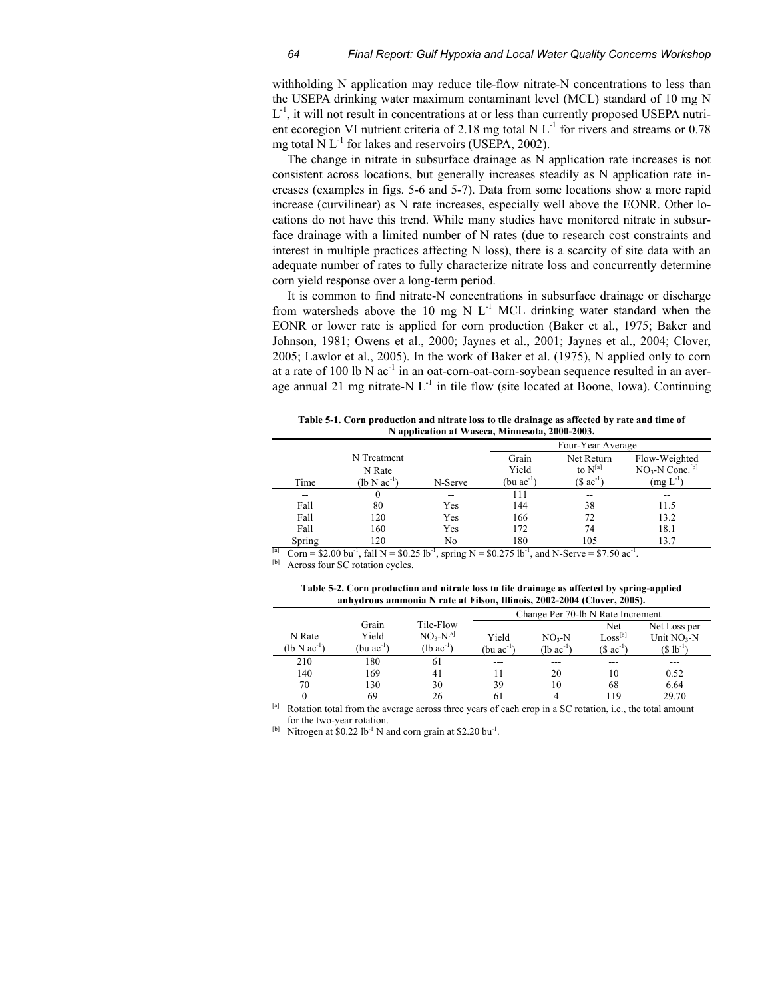withholding N application may reduce tile-flow nitrate-N concentrations to less than the USEPA drinking water maximum contaminant level (MCL) standard of 10 mg N  $L^{-1}$ , it will not result in concentrations at or less than currently proposed USEPA nutrient ecoregion VI nutrient criteria of 2.18 mg total N  $L^{-1}$  for rivers and streams or 0.78 mg total N  $L^{-1}$  for lakes and reservoirs (USEPA, 2002).

The change in nitrate in subsurface drainage as N application rate increases is not consistent across locations, but generally increases steadily as N application rate increases (examples in figs. 5-6 and 5-7). Data from some locations show a more rapid increase (curvilinear) as N rate increases, especially well above the EONR. Other locations do not have this trend. While many studies have monitored nitrate in subsurface drainage with a limited number of N rates (due to research cost constraints and interest in multiple practices affecting N loss), there is a scarcity of site data with an adequate number of rates to fully characterize nitrate loss and concurrently determine corn yield response over a long-term period.

It is common to find nitrate-N concentrations in subsurface drainage or discharge from watersheds above the 10 mg N  $L^{-1}$  MCL drinking water standard when the EONR or lower rate is applied for corn production (Baker et al., 1975; Baker and Johnson, 1981; Owens et al., 2000; Jaynes et al., 2001; Jaynes et al., 2004; Clover, 2005; Lawlor et al., 2005). In the work of Baker et al. (1975), N applied only to corn at a rate of 100 lb N  $ac^{-1}$  in an oat-corn-oat-corn-soybean sequence resulted in an average annual 21 mg nitrate-N  $L^{-1}$  in tile flow (site located at Boone, Iowa). Continuing

| Table 5-1. Corn production and nitrate loss to tile drainage as affected by rate and time of |  |
|----------------------------------------------------------------------------------------------|--|
| N application at Waseca, Minnesota, 2000-2003.                                               |  |

|        |                  |         | Four-Year Average      |                       |                              |  |  |
|--------|------------------|---------|------------------------|-----------------------|------------------------------|--|--|
|        | N Treatment      |         | Grain                  | Net Return            | Flow-Weighted                |  |  |
|        | N Rate           |         | Yield                  | to $N^{[a]}$          | $NO3-N$ Conc. <sup>[b]</sup> |  |  |
| Time   | $(lb\ Nac^{-1})$ | N-Serve | (bu ac <sup>-1</sup> ) | $(S \text{ ac}^{-1})$ | $(mg L^{-1})$                |  |  |
| $-$    |                  | --      | 111                    | --                    | --                           |  |  |
| Fall   | 80               | Yes     | 144                    | 38                    | 11.5                         |  |  |
| Fall   | 120              | Yes     | 166                    | 72                    | 13.2                         |  |  |
| Fall   | 160              | Yes     | 172                    | 74                    | 18.1                         |  |  |
| Spring | 120              | No      | 180                    | 105                   | 13.7                         |  |  |

<sup>[a]</sup> Corn = \$2.00 bu<sup>-1</sup>, fall N = \$0.25 lb<sup>-1</sup>, spring N = \$0.275 lb<sup>-1</sup>, and N-Serve = \$7.50 ac<sup>-1</sup>. <sup>[b]</sup> Across four SC rotation cycles.

| anhydrous ammonia N rate at Filson, Illinois, 2002-2004 (Clover, 2005). |                        |                        |                                   |                        |                       |              |  |  |  |
|-------------------------------------------------------------------------|------------------------|------------------------|-----------------------------------|------------------------|-----------------------|--------------|--|--|--|
|                                                                         |                        |                        | Change Per 70-lb N Rate Increment |                        |                       |              |  |  |  |
|                                                                         | Grain                  | Tile-Flow              |                                   |                        | Net                   | Net Loss per |  |  |  |
| N Rate                                                                  | Yield                  | $NO3-N[a]$             | Yield                             | $NO3-N$                | Loss <sup>[b]</sup>   | Unit $NO3-N$ |  |  |  |
| $(lb\ Nac^{-1})$                                                        | (bu ac <sup>-1</sup> ) | $(lb \text{ ac}^{-1})$ | (bu ac <sup>-1</sup> )            | $(lb \text{ ac}^{-1})$ | $(S \text{ ac}^{-1})$ | $(S lb-1)$   |  |  |  |
| 210                                                                     | 180                    | 61                     |                                   |                        |                       |              |  |  |  |
| 140                                                                     | 169                    | 41                     | 11                                | 20                     | 10                    | 0.52         |  |  |  |
| 70                                                                      | 130                    | 30                     | 39                                | 10                     | 68                    | 6.64         |  |  |  |
|                                                                         | 69                     | 26                     | 61                                | 4                      | 119                   | 29.70        |  |  |  |

**Table 5-2. Corn production and nitrate loss to tile drainage as affected by spring-applied anhydrous ammonia N rate at Filson, Illinois, 2002-2004 (Clover, 2005).** 

<sup>[a]</sup> Rotation total from the average across three years of each crop in a SC rotation, i.e., the total amount for the two-year rotation.<br><sup>[b]</sup> Nitrogen at \$0.22 lb<sup>-1</sup> N and corn grain at \$2.20 bu<sup>-1</sup>.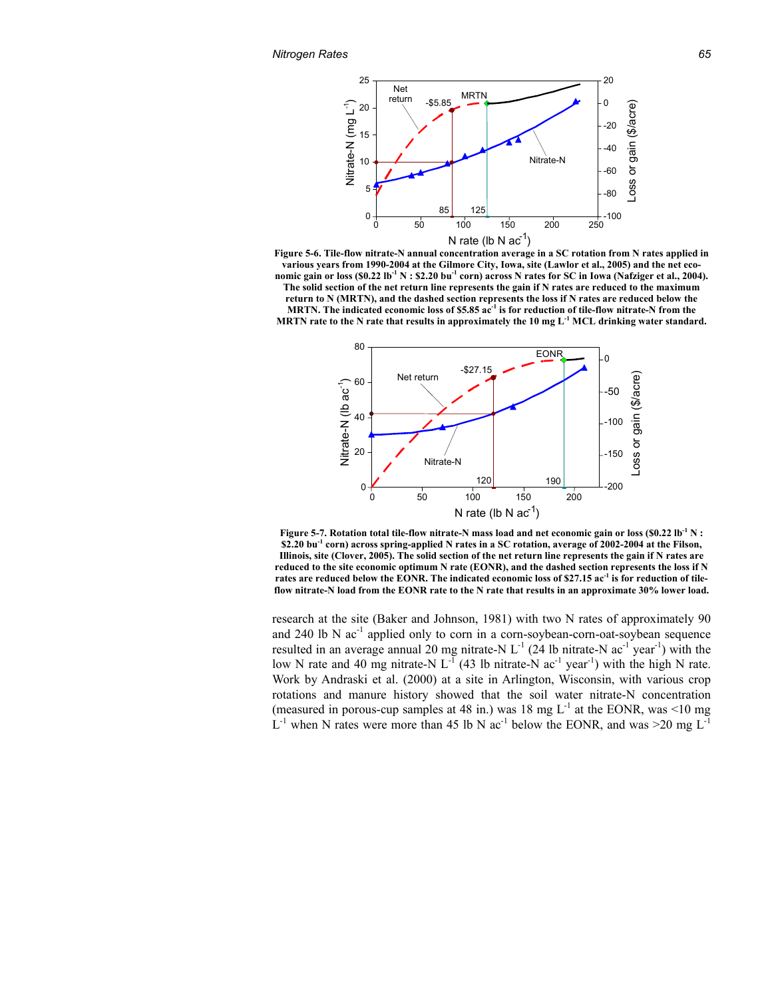

**Figure 5-6. Tile-flow nitrate-N annual concentration average in a SC rotation from N rates applied in various years from 1990-2004 at the Gilmore City, Iowa, site (Lawlor et al., 2005) and the net economic gain or loss (\$0.22 lb**<sup>-1</sup> N : \$2.20 bu<sup>-1</sup> corn) across N rates for SC in Iowa (Nafziger et al., 2004). **The solid section of the net return line represents the gain if N rates are reduced to the maximum return to N (MRTN), and the dashed section represents the loss if N rates are reduced below the MRTN.** The indicated economic loss of \$5.85 ac<sup>-1</sup> is for reduction of tile-flow nitrate-N from the **MRTN rate to the N rate that results in approximately the 10 mg L-1 MCL drinking water standard.** 



Figure 5-7. Rotation total tile-flow nitrate-N mass load and net economic gain or loss (\$0.22 lb<sup>-1</sup> N : **\$2.20 bu-1 corn) across spring-applied N rates in a SC rotation, average of 2002-2004 at the Filson, Illinois, site (Clover, 2005). The solid section of the net return line represents the gain if N rates are reduced to the site economic optimum N rate (EONR), and the dashed section represents the loss if N rates are reduced below the EONR. The indicated economic loss of \$27.15 ac-1 is for reduction of tileflow nitrate-N load from the EONR rate to the N rate that results in an approximate 30% lower load.** 

research at the site (Baker and Johnson, 1981) with two N rates of approximately 90 and  $240$  lb N  $ac^{-1}$  applied only to corn in a corn-soybean-corn-oat-soybean sequence resulted in an average annual 20 mg nitrate-N  $L^{-1}$  (24 lb nitrate-N ac<sup>-1</sup> year<sup>-1</sup>) with the low N rate and 40 mg nitrate-N  $L^{-1}$  (43 lb nitrate-N  $ac^{-1}$  year<sup>-1</sup>) with the high N rate. Work by Andraski et al. (2000) at a site in Arlington, Wisconsin, with various crop rotations and manure history showed that the soil water nitrate-N concentration (measured in porous-cup samples at 48 in.) was 18 mg  $L^{-1}$  at the EONR, was <10 mg  $L^{-1}$  when N rates were more than 45 lb N ac<sup>-1</sup> below the EONR, and was >20 mg L<sup>-1</sup>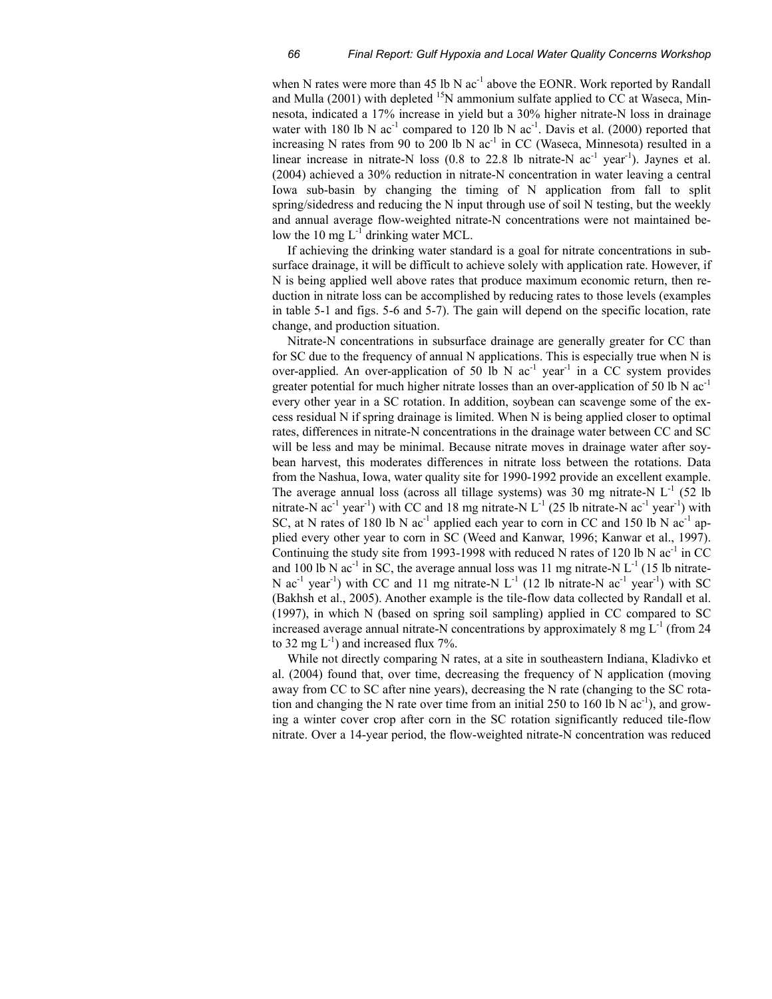when N rates were more than 45 lb N  $ac^{-1}$  above the EONR. Work reported by Randall and Mulla (2001) with depleted  ${}^{15}N$  ammonium sulfate applied to CC at Waseca, Minnesota, indicated a 17% increase in yield but a 30% higher nitrate-N loss in drainage water with 180 lb N  $ac^{-1}$  compared to 120 lb N  $ac^{-1}$ . Davis et al. (2000) reported that increasing N rates from 90 to 200 lb N  $ac^{-1}$  in CC (Waseca, Minnesota) resulted in a linear increase in nitrate-N loss  $(0.8 \text{ to } 22.8 \text{ lb nitrate-N ac}^{-1} \text{ year}^{-1})$ . Jaynes et al. (2004) achieved a 30% reduction in nitrate-N concentration in water leaving a central Iowa sub-basin by changing the timing of N application from fall to split spring/sidedress and reducing the N input through use of soil N testing, but the weekly and annual average flow-weighted nitrate-N concentrations were not maintained below the 10 mg  $L^{-1}$  drinking water MCL.

If achieving the drinking water standard is a goal for nitrate concentrations in subsurface drainage, it will be difficult to achieve solely with application rate. However, if N is being applied well above rates that produce maximum economic return, then reduction in nitrate loss can be accomplished by reducing rates to those levels (examples in table 5-1 and figs. 5-6 and 5-7). The gain will depend on the specific location, rate change, and production situation.

Nitrate-N concentrations in subsurface drainage are generally greater for CC than for SC due to the frequency of annual N applications. This is especially true when N is over-applied. An over-application of 50 lb N  $ac^{-1}$  year<sup>-1</sup> in a CC system provides greater potential for much higher nitrate losses than an over-application of 50 lb N  $ac^{-1}$ every other year in a SC rotation. In addition, soybean can scavenge some of the excess residual N if spring drainage is limited. When N is being applied closer to optimal rates, differences in nitrate-N concentrations in the drainage water between CC and SC will be less and may be minimal. Because nitrate moves in drainage water after soybean harvest, this moderates differences in nitrate loss between the rotations. Data from the Nashua, Iowa, water quality site for 1990-1992 provide an excellent example. The average annual loss (across all tillage systems) was 30 mg nitrate-N  $L^{-1}$  (52 lb) nitrate-N  $ac^{-1}$  year<sup>-1</sup>) with CC and 18 mg nitrate-N L<sup>-1</sup> (25 lb nitrate-N  $ac^{-1}$  year<sup>-1</sup>) with SC, at N rates of 180 lb N  $ac^{-1}$  applied each year to corn in CC and 150 lb N  $ac^{-1}$  applied every other year to corn in SC (Weed and Kanwar, 1996; Kanwar et al., 1997). Continuing the study site from 1993-1998 with reduced N rates of 120 lb N  $\rm ac^{-1}$  in CC and 100 lb N  $ac^{-1}$  in SC, the average annual loss was 11 mg nitrate-N L<sup>-1</sup> (15 lb nitrate-N  $ac^{-1}$  year<sup>-1</sup>) with CC and 11 mg nitrate-N  $L^{-1}$  (12 lb nitrate-N  $ac^{-1}$  year<sup>-1</sup>) with SC (Bakhsh et al., 2005). Another example is the tile-flow data collected by Randall et al. (1997), in which N (based on spring soil sampling) applied in CC compared to SC increased average annual nitrate-N concentrations by approximately 8 mg  $L^{-1}$  (from 24 to 32 mg  $L^{-1}$ ) and increased flux 7%.

While not directly comparing N rates, at a site in southeastern Indiana, Kladivko et al. (2004) found that, over time, decreasing the frequency of N application (moving away from CC to SC after nine years), decreasing the N rate (changing to the SC rotation and changing the N rate over time from an initial 250 to 160 lb N  $\alpha$ <sup>-1</sup>), and growing a winter cover crop after corn in the SC rotation significantly reduced tile-flow nitrate. Over a 14-year period, the flow-weighted nitrate-N concentration was reduced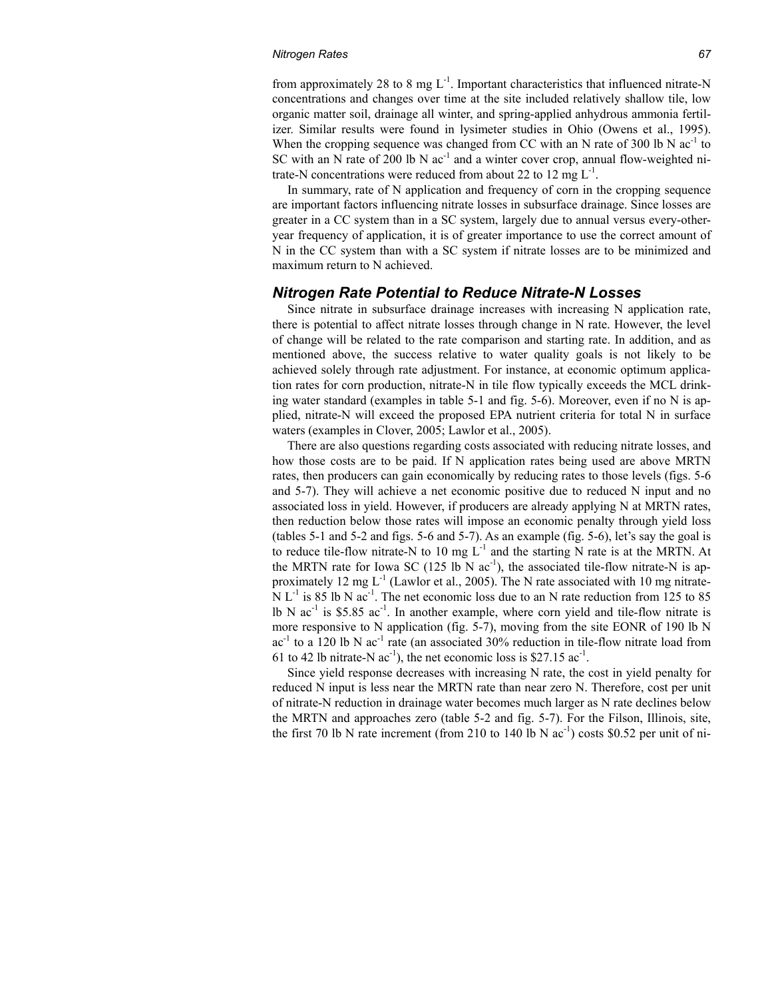#### *Nitrogen Rates 67*

from approximately 28 to 8 mg  $L^{-1}$ . Important characteristics that influenced nitrate-N concentrations and changes over time at the site included relatively shallow tile, low organic matter soil, drainage all winter, and spring-applied anhydrous ammonia fertilizer. Similar results were found in lysimeter studies in Ohio (Owens et al., 1995). When the cropping sequence was changed from CC with an N rate of 300 lb N  $ac^{-1}$  to SC with an N rate of 200 lb N  $ac^{-1}$  and a winter cover crop, annual flow-weighted nitrate-N concentrations were reduced from about 22 to 12 mg  $L^{-1}$ .

In summary, rate of N application and frequency of corn in the cropping sequence are important factors influencing nitrate losses in subsurface drainage. Since losses are greater in a CC system than in a SC system, largely due to annual versus every-otheryear frequency of application, it is of greater importance to use the correct amount of N in the CC system than with a SC system if nitrate losses are to be minimized and maximum return to N achieved.

## *Nitrogen Rate Potential to Reduce Nitrate-N Losses*

Since nitrate in subsurface drainage increases with increasing N application rate, there is potential to affect nitrate losses through change in N rate. However, the level of change will be related to the rate comparison and starting rate. In addition, and as mentioned above, the success relative to water quality goals is not likely to be achieved solely through rate adjustment. For instance, at economic optimum application rates for corn production, nitrate-N in tile flow typically exceeds the MCL drinking water standard (examples in table 5-1 and fig. 5-6). Moreover, even if no N is applied, nitrate-N will exceed the proposed EPA nutrient criteria for total N in surface waters (examples in Clover, 2005; Lawlor et al., 2005).

There are also questions regarding costs associated with reducing nitrate losses, and how those costs are to be paid. If N application rates being used are above MRTN rates, then producers can gain economically by reducing rates to those levels (figs. 5-6 and 5-7). They will achieve a net economic positive due to reduced N input and no associated loss in yield. However, if producers are already applying N at MRTN rates, then reduction below those rates will impose an economic penalty through yield loss (tables 5-1 and 5-2 and figs. 5-6 and 5-7). As an example (fig. 5-6), let's say the goal is to reduce tile-flow nitrate-N to 10 mg  $L^{-1}$  and the starting N rate is at the MRTN. At the MRTN rate for Iowa SC (125 lb N  $ac^{-1}$ ), the associated tile-flow nitrate-N is approximately 12 mg  $L^{-1}$  (Lawlor et al., 2005). The N rate associated with 10 mg nitrate- $N L^{-1}$  is 85 lb N ac<sup>-1</sup>. The net economic loss due to an N rate reduction from 125 to 85 lb N  $ac^{-1}$  is \$5.85  $ac^{-1}$ . In another example, where corn yield and tile-flow nitrate is more responsive to N application (fig. 5-7), moving from the site EONR of 190 lb N  $ac^{-1}$  to a 120 lb N  $ac^{-1}$  rate (an associated 30% reduction in tile-flow nitrate load from 61 to 42 lb nitrate-N  $ac^{-1}$ ), the net economic loss is \$27.15  $ac^{-1}$ .

Since yield response decreases with increasing N rate, the cost in yield penalty for reduced N input is less near the MRTN rate than near zero N. Therefore, cost per unit of nitrate-N reduction in drainage water becomes much larger as N rate declines below the MRTN and approaches zero (table 5-2 and fig. 5-7). For the Filson, Illinois, site, the first 70 lb N rate increment (from 210 to 140 lb N  $ac^{-1}$ ) costs \$0.52 per unit of ni-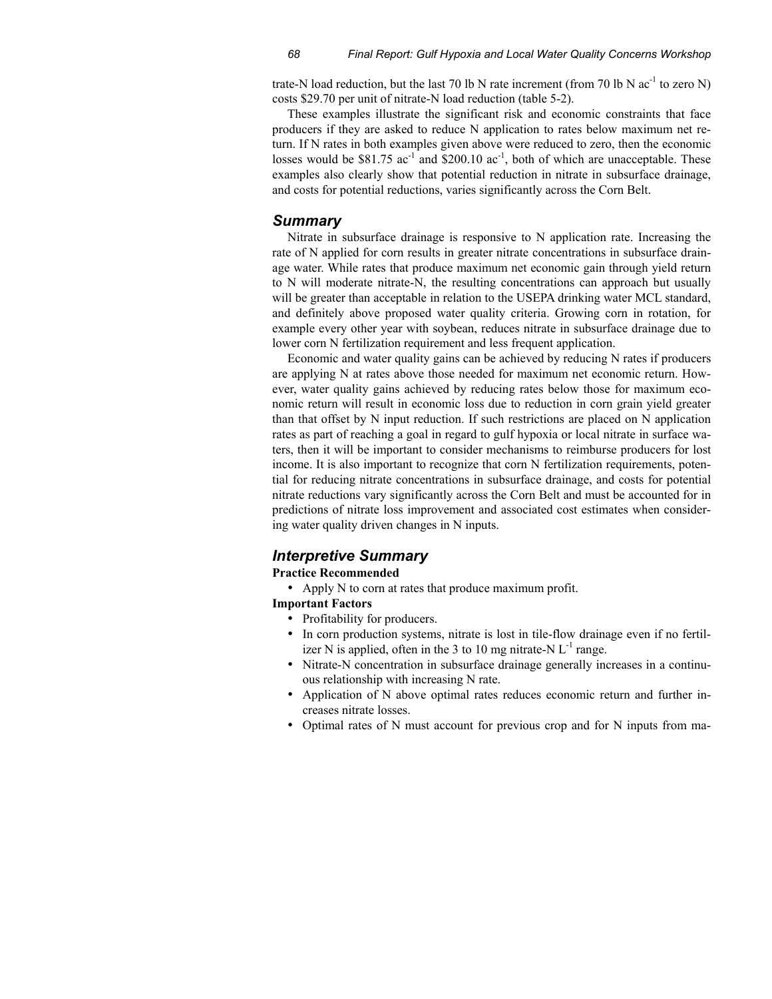## *68 Final Report: Gulf Hypoxia and Local Water Quality Concerns Workshop*

trate-N load reduction, but the last 70 lb N rate increment (from 70 lb N  $ac^{-1}$  to zero N) costs \$29.70 per unit of nitrate-N load reduction (table 5-2).

These examples illustrate the significant risk and economic constraints that face producers if they are asked to reduce N application to rates below maximum net return. If N rates in both examples given above were reduced to zero, then the economic losses would be  $$81.75$  ac<sup>-1</sup> and  $$200.10$  ac<sup>-1</sup>, both of which are unacceptable. These examples also clearly show that potential reduction in nitrate in subsurface drainage, and costs for potential reductions, varies significantly across the Corn Belt.

# *Summary*

Nitrate in subsurface drainage is responsive to N application rate. Increasing the rate of N applied for corn results in greater nitrate concentrations in subsurface drainage water. While rates that produce maximum net economic gain through yield return to N will moderate nitrate-N, the resulting concentrations can approach but usually will be greater than acceptable in relation to the USEPA drinking water MCL standard, and definitely above proposed water quality criteria. Growing corn in rotation, for example every other year with soybean, reduces nitrate in subsurface drainage due to lower corn N fertilization requirement and less frequent application.

Economic and water quality gains can be achieved by reducing N rates if producers are applying N at rates above those needed for maximum net economic return. However, water quality gains achieved by reducing rates below those for maximum economic return will result in economic loss due to reduction in corn grain yield greater than that offset by N input reduction. If such restrictions are placed on N application rates as part of reaching a goal in regard to gulf hypoxia or local nitrate in surface waters, then it will be important to consider mechanisms to reimburse producers for lost income. It is also important to recognize that corn N fertilization requirements, potential for reducing nitrate concentrations in subsurface drainage, and costs for potential nitrate reductions vary significantly across the Corn Belt and must be accounted for in predictions of nitrate loss improvement and associated cost estimates when considering water quality driven changes in N inputs.

# *Interpretive Summary*

## **Practice Recommended**

• Apply N to corn at rates that produce maximum profit.

#### **Important Factors**

- Profitability for producers.
- In corn production systems, nitrate is lost in tile-flow drainage even if no fertilizer N is applied, often in the 3 to 10 mg nitrate-N  $L^{-1}$  range.
- Nitrate-N concentration in subsurface drainage generally increases in a continuous relationship with increasing N rate.
- Application of N above optimal rates reduces economic return and further increases nitrate losses.
- Optimal rates of N must account for previous crop and for N inputs from ma-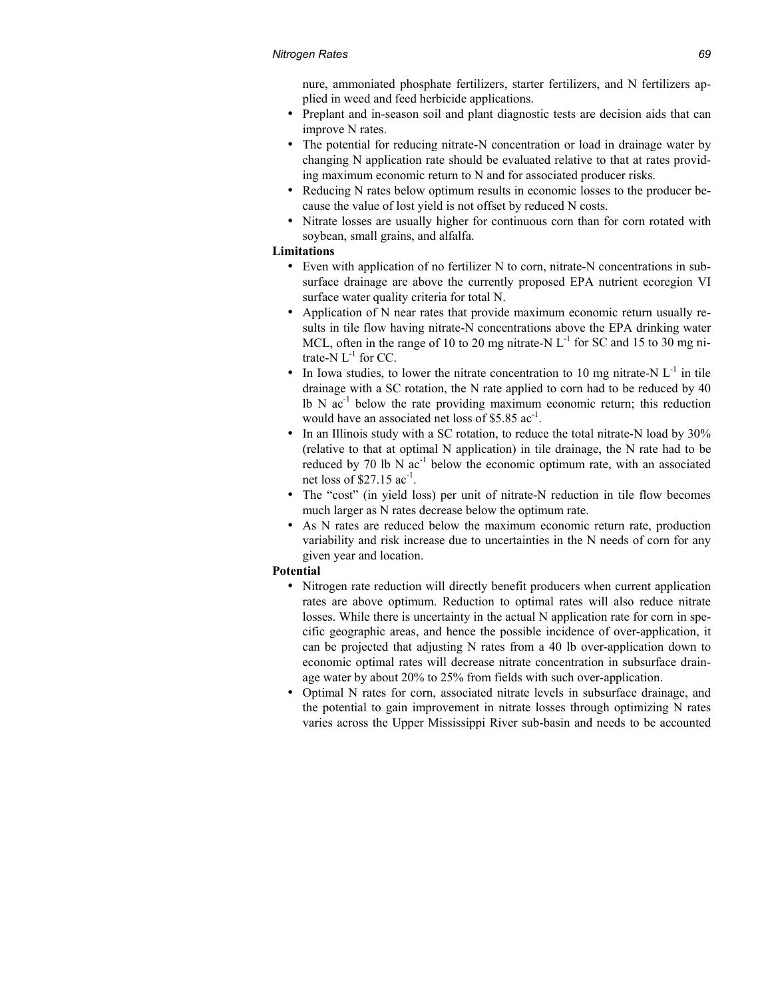### *Nitrogen Rates 69*

nure, ammoniated phosphate fertilizers, starter fertilizers, and N fertilizers applied in weed and feed herbicide applications.

- Preplant and in-season soil and plant diagnostic tests are decision aids that can improve N rates.
- The potential for reducing nitrate-N concentration or load in drainage water by changing N application rate should be evaluated relative to that at rates providing maximum economic return to N and for associated producer risks.
- Reducing N rates below optimum results in economic losses to the producer because the value of lost yield is not offset by reduced N costs.
- Nitrate losses are usually higher for continuous corn than for corn rotated with soybean, small grains, and alfalfa.

# **Limitations**

- Even with application of no fertilizer N to corn, nitrate-N concentrations in subsurface drainage are above the currently proposed EPA nutrient ecoregion VI surface water quality criteria for total N.
- Application of N near rates that provide maximum economic return usually results in tile flow having nitrate-N concentrations above the EPA drinking water MCL, often in the range of 10 to 20 mg nitrate-N  $L^{-1}$  for SC and 15 to 30 mg nitrate-N  $L^{-1}$  for CC.
- In Iowa studies, to lower the nitrate concentration to 10 mg nitrate-N  $L^{-1}$  in tile drainage with a SC rotation, the N rate applied to corn had to be reduced by 40 Ib N  $ac^{-1}$  below the rate providing maximum economic return; this reduction would have an associated net loss of \$5.85 ac<sup>-1</sup>.
- In an Illinois study with a SC rotation, to reduce the total nitrate-N load by 30% (relative to that at optimal N application) in tile drainage, the N rate had to be reduced by 70 lb N  $ac^{-1}$  below the economic optimum rate, with an associated net loss of  $$27.15$  ac<sup>-1</sup>.
- The "cost" (in yield loss) per unit of nitrate-N reduction in tile flow becomes much larger as N rates decrease below the optimum rate.
- As N rates are reduced below the maximum economic return rate, production variability and risk increase due to uncertainties in the N needs of corn for any given year and location.

# **Potential**

- Nitrogen rate reduction will directly benefit producers when current application rates are above optimum. Reduction to optimal rates will also reduce nitrate losses. While there is uncertainty in the actual N application rate for corn in specific geographic areas, and hence the possible incidence of over-application, it can be projected that adjusting N rates from a 40 lb over-application down to economic optimal rates will decrease nitrate concentration in subsurface drainage water by about 20% to 25% from fields with such over-application.
- Optimal N rates for corn, associated nitrate levels in subsurface drainage, and the potential to gain improvement in nitrate losses through optimizing N rates varies across the Upper Mississippi River sub-basin and needs to be accounted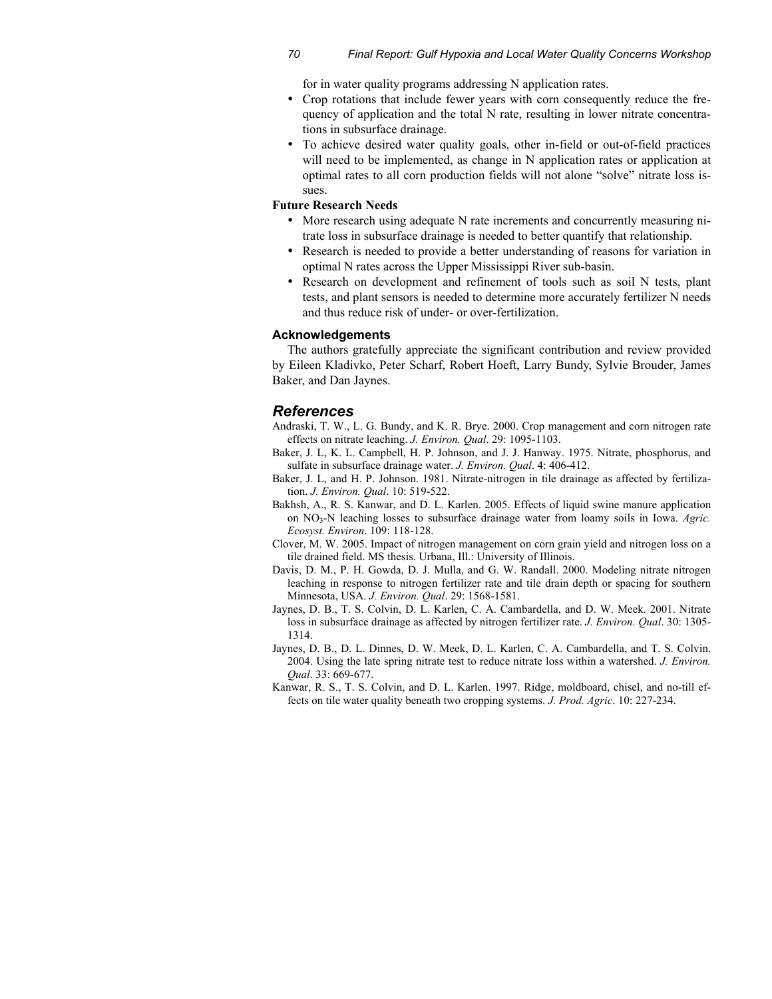for in water quality programs addressing N application rates.

- Crop rotations that include fewer years with corn consequently reduce the frequency of application and the total N rate, resulting in lower nitrate concentrations in subsurface drainage.
- To achieve desired water quality goals, other in-field or out-of-field practices will need to be implemented, as change in N application rates or application at optimal rates to all corn production fields will not alone "solve" nitrate loss issues.

## **Future Research Needs**

- More research using adequate N rate increments and concurrently measuring nitrate loss in subsurface drainage is needed to better quantify that relationship.
- Research is needed to provide a better understanding of reasons for variation in optimal N rates across the Upper Mississippi River sub-basin.
- Research on development and refinement of tools such as soil N tests, plant tests, and plant sensors is needed to determine more accurately fertilizer N needs and thus reduce risk of under- or over-fertilization.

#### **Acknowledgements**

The authors gratefully appreciate the significant contribution and review provided by Eileen Kladivko, Peter Scharf, Robert Hoeft, Larry Bundy, Sylvie Brouder, James Baker, and Dan Jaynes.

# *References*

- Andraski, T. W., L. G. Bundy, and K. R. Brye. 2000. Crop management and corn nitrogen rate effects on nitrate leaching. *J. Environ. Qual*. 29: 1095-1103.
- Baker, J. L, K. L. Campbell, H. P. Johnson, and J. J. Hanway. 1975. Nitrate, phosphorus, and sulfate in subsurface drainage water. *J. Environ. Qual*. 4: 406-412.
- Baker, J. L, and H. P. Johnson. 1981. Nitrate-nitrogen in tile drainage as affected by fertilization. *J. Environ. Qual*. 10: 519-522.
- Bakhsh, A., R. S. Kanwar, and D. L. Karlen. 2005. Effects of liquid swine manure application on NO3-N leaching losses to subsurface drainage water from loamy soils in Iowa. *Agric. Ecosyst. Environ*. 109: 118-128.
- Clover, M. W. 2005. Impact of nitrogen management on corn grain yield and nitrogen loss on a tile drained field. MS thesis. Urbana, Ill.: University of Illinois.
- Davis, D. M., P. H. Gowda, D. J. Mulla, and G. W. Randall. 2000. Modeling nitrate nitrogen leaching in response to nitrogen fertilizer rate and tile drain depth or spacing for southern Minnesota, USA. *J. Environ. Qual*. 29: 1568-1581.
- Jaynes, D. B., T. S. Colvin, D. L. Karlen, C. A. Cambardella, and D. W. Meek. 2001. Nitrate loss in subsurface drainage as affected by nitrogen fertilizer rate. *J. Environ. Qual*. 30: 1305- 1314.
- Jaynes, D. B., D. L. Dinnes, D. W. Meek, D. L. Karlen, C. A. Cambardella, and T. S. Colvin. 2004. Using the late spring nitrate test to reduce nitrate loss within a watershed. *J. Environ. Qual*. 33: 669-677.
- Kanwar, R. S., T. S. Colvin, and D. L. Karlen. 1997. Ridge, moldboard, chisel, and no-till effects on tile water quality beneath two cropping systems. *J. Prod. Agric*. 10: 227-234.